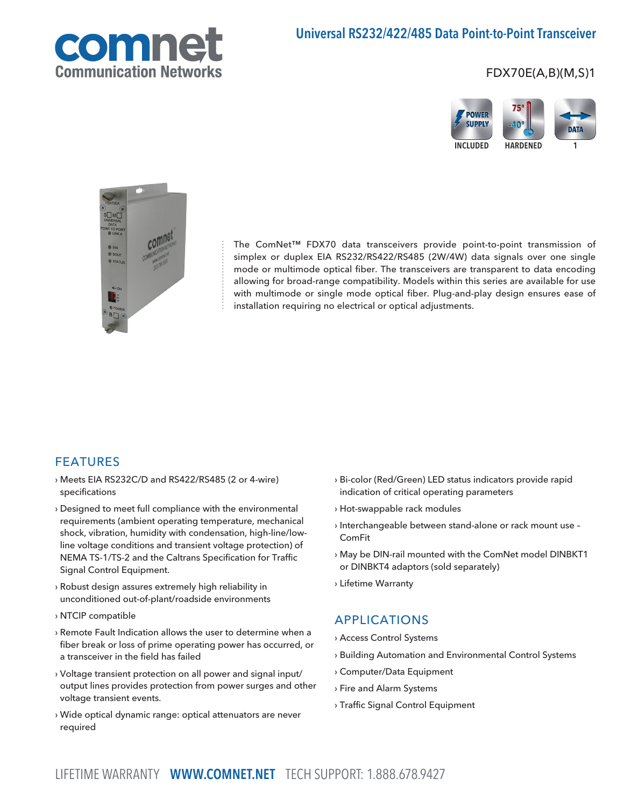

## Universal RS232/422/485 Data Point-to-Point Transceiver

## FDX70E(A,B)(M,S)1





The ComNet™ FDX70 data transceivers provide point-to-point transmission of simplex or duplex EIA RS232/RS422/RS485 (2W/4W) data signals over one single mode or multimode optical fiber. The transceivers are transparent to data encoding allowing for broad-range compatibility. Models within this series are available for use with multimode or single mode optical fiber. Plug-and-play design ensures ease of installation requiring no electrical or optical adjustments.

## FEATURES

- › Meets EIA RS232C/D and RS422/RS485 (2 or 4-wire) specifications
- › Designed to meet full compliance with the environmental requirements (ambient operating temperature, mechanical shock, vibration, humidity with condensation, high-line/lowline voltage conditions and transient voltage protection) of NEMA TS-1/TS-2 and the Caltrans Specification for Traffic Signal Control Equipment.
- › Robust design assures extremely high reliability in unconditioned out-of-plant/roadside environments
- › NTCIP compatible
- › Remote Fault Indication allows the user to determine when a fiber break or loss of prime operating power has occurred, or a transceiver in the field has failed
- › Voltage transient protection on all power and signal input/ output lines provides protection from power surges and other voltage transient events.
- › Wide optical dynamic range: optical attenuators are never required
- › Bi-color (Red/Green) LED status indicators provide rapid indication of critical operating parameters
- › Hot-swappable rack modules
- › Interchangeable between stand-alone or rack mount use ComFit
- › May be DIN-rail mounted with the ComNet model DINBKT1 or DINBKT4 adaptors (sold separately)
- › Lifetime Warranty

## APPLICATIONS

- › Access Control Systems
- › Building Automation and Environmental Control Systems
- › Computer/Data Equipment
- › Fire and Alarm Systems
- › Traffic Signal Control Equipment